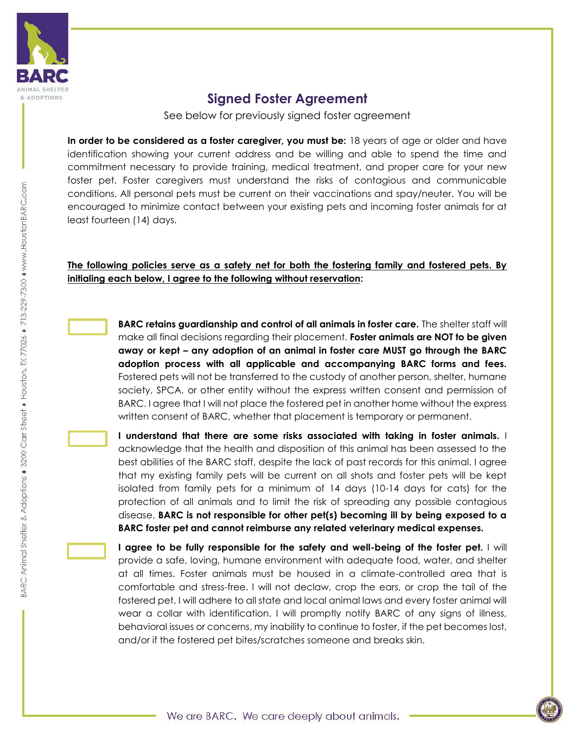

## **Signed Foster Agreement**

See below for previously signed foster agreement

**In order to be considered as a foster caregiver, you must be:** 18 years of age or older and have identification showing your current address and be willing and able to spend the time and commitment necessary to provide training, medical treatment, and proper care for your new foster pet. Foster caregivers must understand the risks of contagious and communicable conditions. All personal pets must be current on their vaccinations and spay/neuter. You will be encouraged to minimize contact between your existing pets and incoming foster animals for at least fourteen (14) days.

## **The following policies serve as a safety net for both the fostering family and fostered pets. By initialing each below, I agree to the following without reservation:**



**BARC retains guardianship and control of all animals in foster care.** The shelter staff will make all final decisions regarding their placement. **Foster animals are NOT to be given away or kept – any adoption of an animal in foster care MUST go through the BARC adoption process with all applicable and accompanying BARC forms and fees.**  Fostered pets will not be transferred to the custody of another person, shelter, humane society, SPCA, or other entity without the express written consent and permission of BARC. I agree that I will not place the fostered pet in another home without the express written consent of BARC, whether that placement is temporary or permanent.

**I understand that there are some risks associated with taking in foster animals.** I acknowledge that the health and disposition of this animal has been assessed to the best abilities of the BARC staff, despite the lack of past records for this animal. I agree that my existing family pets will be current on all shots and foster pets will be kept isolated from family pets for a minimum of 14 days (10-14 days for cats) for the protection of all animals and to limit the risk of spreading any possible contagious disease. **BARC is not responsible for other pet(s) becoming ill by being exposed to a BARC foster pet and cannot reimburse any related veterinary medical expenses.**

**I agree to be fully responsible for the safety and well-being of the foster pet.** I will provide a safe, loving, humane environment with adequate food, water, and shelter at all times. Foster animals must be housed in a climate-controlled area that is comfortable and stress-free. I will not declaw, crop the ears, or crop the tail of the fostered pet. I will adhere to all state and local animal laws and every foster animal will wear a collar with identification. I will promptly notify BARC of any signs of illness, behavioral issues or concerns, my inability to continue to foster, if the pet becomes lost, and/or if the fostered pet bites/scratches someone and breaks skin.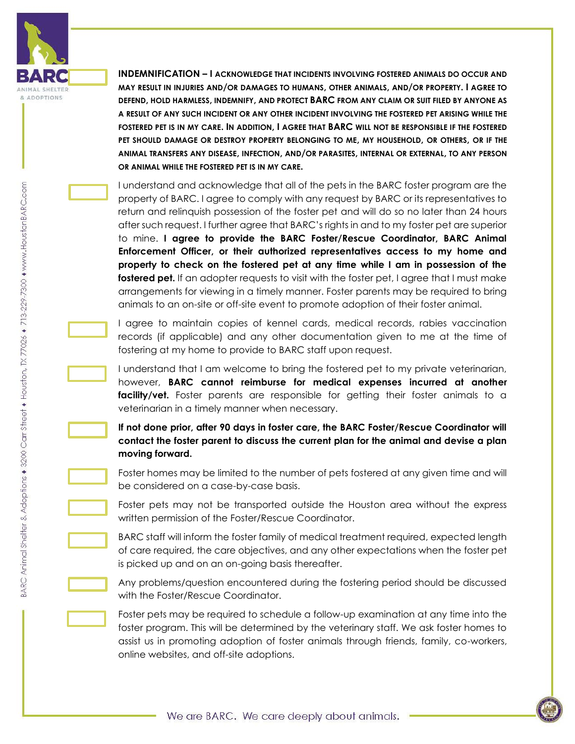

**INDEMNIFICATION – I ACKNOWLEDGE THAT INCIDENTS INVOLVING FOSTERED ANIMALS DO OCCUR AND MAY RESULT IN INJURIES AND/OR DAMAGES TO HUMANS, OTHER ANIMALS, AND/OR PROPERTY. I AGREE TO DEFEND, HOLD HARMLESS, INDEMNIFY, AND PROTECT BARC FROM ANY CLAIM OR SUIT FILED BY ANYONE AS A RESULT OF ANY SUCH INCIDENT OR ANY OTHER INCIDENT INVOLVING THE FOSTERED PET ARISING WHILE THE FOSTERED PET IS IN MY CARE. IN ADDITION, I AGREE THAT BARC WILL NOT BE RESPONSIBLE IF THE FOSTERED PET SHOULD DAMAGE OR DESTROY PROPERTY BELONGING TO ME, MY HOUSEHOLD, OR OTHERS, OR IF THE ANIMAL TRANSFERS ANY DISEASE, INFECTION, AND/OR PARASITES, INTERNAL OR EXTERNAL, TO ANY PERSON OR ANIMAL WHILE THE FOSTERED PET IS IN MY CARE.**

I understand and acknowledge that all of the pets in the BARC foster program are the property of BARC. I agree to comply with any request by BARC or its representatives to return and relinquish possession of the foster pet and will do so no later than 24 hours after such request. I further agree that BARC's rights in and to my foster pet are superior to mine. **I agree to provide the BARC Foster/Rescue Coordinator, BARC Animal Enforcement Officer, or their authorized representatives access to my home and property to check on the fostered pet at any time while I am in possession of the**  fostered pet. If an adopter requests to visit with the foster pet, I agree that I must make arrangements for viewing in a timely manner. Foster parents may be required to bring animals to an on-site or off-site event to promote adoption of their foster animal.

I agree to maintain copies of kennel cards, medical records, rabies vaccination records (if applicable) and any other documentation given to me at the time of fostering at my home to provide to BARC staff upon request.

I understand that I am welcome to bring the fostered pet to my private veterinarian, however, **BARC cannot reimburse for medical expenses incurred at another facility/vet.** Foster parents are responsible for getting their foster animals to a veterinarian in a timely manner when necessary.

**If not done prior, after 90 days in foster care, the BARC Foster/Rescue Coordinator will contact the foster parent to discuss the current plan for the animal and devise a plan moving forward.**

Foster homes may be limited to the number of pets fostered at any given time and will be considered on a case-by-case basis.

Foster pets may not be transported outside the Houston area without the express written permission of the Foster/Rescue Coordinator.

BARC staff will inform the foster family of medical treatment required, expected length of care required, the care objectives, and any other expectations when the foster pet is picked up and on an on-going basis thereafter.

Any problems/question encountered during the fostering period should be discussed with the Foster/Rescue Coordinator.

Foster pets may be required to schedule a follow-up examination at any time into the foster program. This will be determined by the veterinary staff. We ask foster homes to assist us in promoting adoption of foster animals through friends, family, co-workers, online websites, and off-site adoptions.